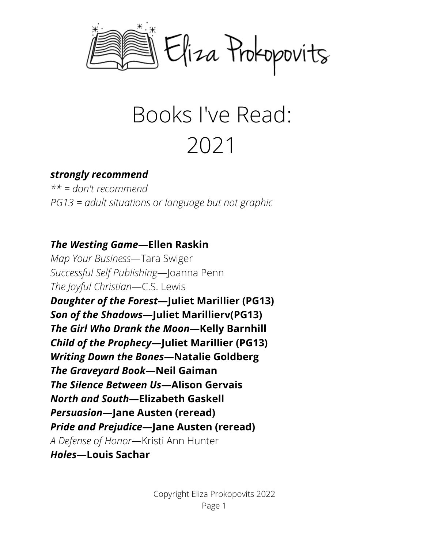

# Books I've Read: 2021

#### *strongly recommend*

*\*\* = don't recommend PG13 = adult situations or language but not graphic*

#### *The Westing Game***—Ellen Raskin**

*Map Your Business*—Tara Swiger *Successful Self Publishing*—Joanna Penn *The Joyful Christian*—C.S. Lewis *Daughter of the Forest***—Juliet Marillier (PG13)** *Son of the Shadows***—Juliet Marillierv(PG13)** *The Girl Who Drank the Moon***—Kelly Barnhill** *Child of the Prophecy***—Juliet Marillier (PG13)** *Writing Down the Bones***—Natalie Goldberg** *The Graveyard Book***—Neil Gaiman** *The Silence Between Us***—Alison Gervais** *North and South***—Elizabeth Gaskell** *Persuasion***—Jane Austen (reread)** *Pride and Prejudice***—Jane Austen (reread)** *A Defense of Honor*—Kristi Ann Hunter *Holes***—Louis Sachar**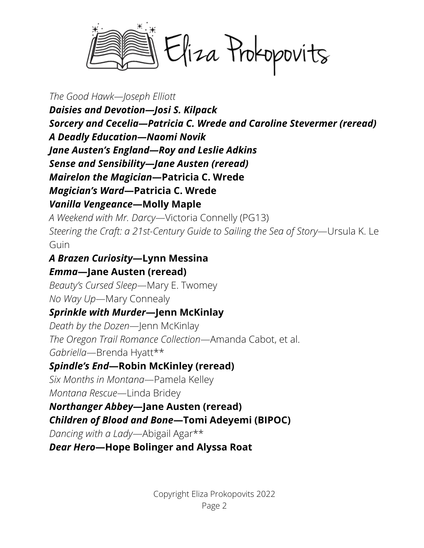Eliza Prokopovits

*The Good Hawk—Joseph Elliott*

*Daisies and Devotion—Josi S. Kilpack Sorcery and Cecelia—Patricia C. Wrede and Caroline Stevermer (reread) A Deadly Education—Naomi Novik Jane Austen's England—Roy and Leslie Adkins Sense and Sensibility—Jane Austen (reread) Mairelon the Magician***—Patricia C. Wrede** *Magician's Ward***—Patricia C. Wrede** *Vanilla Vengeance***—Molly Maple**

*A Weekend with Mr. Darcy*—Victoria Connelly (PG13) *Steering the Craft: a 21st-Century Guide to Sailing the Sea of Story*—Ursula K. Le Guin

#### *A Brazen Curiosity***—Lynn Messina** *Emma***—Jane Austen (reread)**

*Beauty's Cursed Sleep*—Mary E. Twomey *No Way Up*—Mary Connealy

## *Sprinkle with Murder***—Jenn McKinlay**

*Death by the Dozen*—Jenn McKinlay *The Oregon Trail Romance Collection*—Amanda Cabot, et al. *Gabriella*—Brenda Hyatt\*\*

#### *Spindle's End***—Robin McKinley (reread)**

*Six Months in Montana*—Pamela Kelley *Montana Rescue*—Linda Bridey

## *Northanger Abbey***—Jane Austen (reread)**

*Children of Blood and Bone***—Tomi Adeyemi (BIPOC)**

*Dancing with a Lady*—Abigail Agar\*\*

*Dear Hero***—Hope Bolinger and Alyssa Roat**

Copyright Eliza Prokopovits 2022 Page 2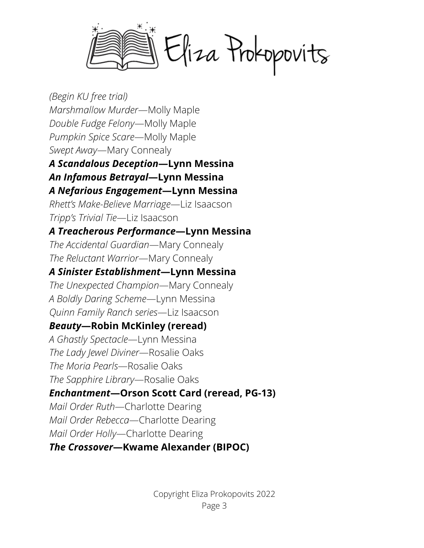Eliza Prokopovits

*(Begin KU free trial) Marshmallow Murder*—Molly Maple *Double Fudge Felony*—Molly Maple *Pumpkin Spice Scare*—Molly Maple *Swept Away*—Mary Connealy *A Scandalous Deception***—Lynn Messina** *An Infamous Betrayal***—Lynn Messina** *A Nefarious Engagement***—Lynn Messina** *Rhett's Make-Believe Marriage*—Liz Isaacson *Tripp's Trivial Tie*—Liz Isaacson *A Treacherous Performance***—Lynn Messina** *The Accidental Guardian*—Mary Connealy *The Reluctant Warrior*—Mary Connealy *A Sinister Establishment***—Lynn Messina** *The Unexpected Champion*—Mary Connealy *A Boldly Daring Scheme*—Lynn Messina *Quinn Family Ranch series*—Liz Isaacson *Beauty***—Robin McKinley (reread)** *A Ghastly Spectacle*—Lynn Messina *The Lady Jewel Diviner*—Rosalie Oaks *The Moria Pearls*—Rosalie Oaks *The Sapphire Library*—Rosalie Oaks *Enchantment***—Orson Scott Card (reread, PG-13)** *Mail Order Ruth*—Charlotte Dearing *Mail Order Rebecca*—Charlotte Dearing *Mail Order Holly*—Charlotte Dearing *The Crossover***—Kwame Alexander (BIPOC)**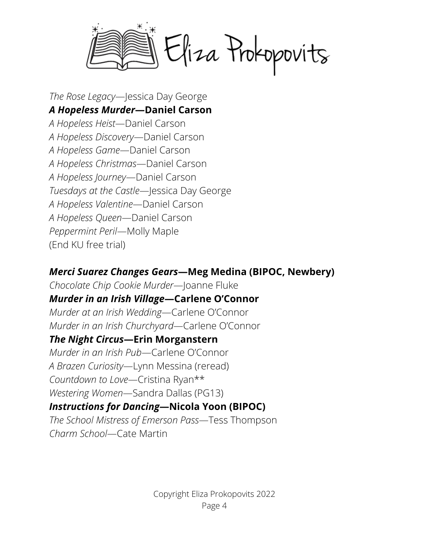Eliza Prokopovits

*The Rose Legacy*—Jessica Day George *A Hopeless Murder***—Daniel Carson** *A Hopeless Heist*—Daniel Carson *A Hopeless Discovery*—Daniel Carson *A Hopeless Game*—Daniel Carson *A Hopeless Christmas*—Daniel Carson *A Hopeless Journey*—Daniel Carson *Tuesdays at the Castle*—Jessica Day George *A Hopeless Valentine*—Daniel Carson *A Hopeless Queen*—Daniel Carson *Peppermint Peril*—Molly Maple (End KU free trial)

#### *Merci Suarez Changes Gears***—Meg Medina (BIPOC, Newbery)**

*Chocolate Chip Cookie Murder*—Joanne Fluke *Murder in an Irish Village***—Carlene O'Connor** *Murder at an Irish Wedding*—Carlene O'Connor *Murder in an Irish Churchyard*—Carlene O'Connor

#### *The Night Circus***—Erin Morganstern**

*Murder in an Irish Pub*—Carlene O'Connor *A Brazen Curiosity*—Lynn Messina (reread) *Countdown to Love*—Cristina Ryan\*\* *Westering Women*—Sandra Dallas (PG13)

# *Instructions for Dancing***—Nicola Yoon (BIPOC)**

*The School Mistress of Emerson Pass*—Tess Thompson *Charm School*—Cate Martin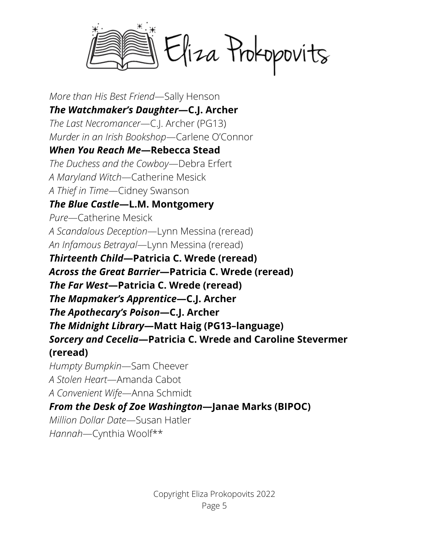Eliza Prokopovits

*More than His Best Friend*—Sally Henson *The Watchmaker's Daughter***—C.J. Archer** *The Last Necromancer*—C.J. Archer (PG13) *Murder in an Irish Bookshop*—Carlene O'Connor *When You Reach Me***—Rebecca Stead** *The Duchess and the Cowboy*—Debra Erfert *A Maryland Witch*—Catherine Mesick *A Thief in Time*—Cidney Swanson *The Blue Castle***—L.M. Montgomery** *Pure*—Catherine Mesick *A Scandalous Deception*—Lynn Messina (reread) *An Infamous Betrayal*—Lynn Messina (reread) *Thirteenth Child***—Patricia C. Wrede (reread)** *Across the Great Barrier***—Patricia C. Wrede (reread)** *The Far West***—Patricia C. Wrede (reread)** *The Mapmaker's Apprentice***—C.J. Archer** *The Apothecary's Poison***—C.J. Archer** *The Midnight Library***—Matt Haig (PG13–language)** *Sorcery and Cecelia***—Patricia C. Wrede and Caroline Stevermer (reread)** *Humpty Bumpkin*—Sam Cheever *A Stolen Heart*—Amanda Cabot *A Convenient Wife*—Anna Schmidt *From the Desk of Zoe Washington***—Janae Marks (BIPOC)** *Million Dollar Date*—Susan Hatler

*Hannah*—Cynthia Woolf\*\*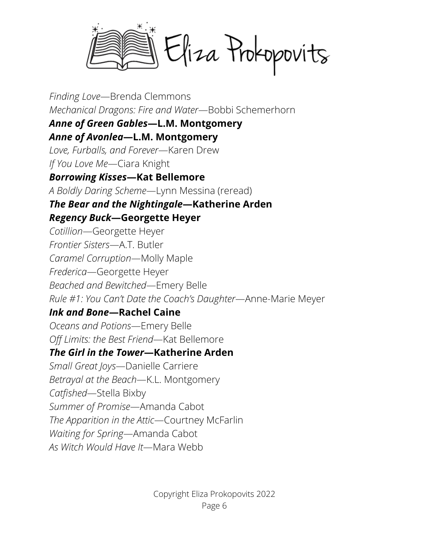Eliza Prokopovits

*Finding Love*—Brenda Clemmons *Mechanical Dragons: Fire and Water*—Bobbi Schemerhorn

#### *Anne of Green Gables***—L.M. Montgomery**

*Anne of Avonlea***—L.M. Montgomery**

*Love, Furballs, and Forever*—Karen Drew

*If You Love Me*—Ciara Knight

## *Borrowing Kisses***—Kat Bellemore**

*A Boldly Daring Scheme*—Lynn Messina (reread)

#### *The Bear and the Nightingale***—Katherine Arden** *Regency Buck***—Georgette Heyer**

*Cotillion*—Georgette Heyer *Frontier Sisters*—A.T. Butler *Caramel Corruption*—Molly Maple *Frederica*—Georgette Heyer *Beached and Bewitched*—Emery Belle *Rule #1: You Can't Date the Coach's Daughter*—Anne-Marie Meyer

## *Ink and Bone***—Rachel Caine**

*Oceans and Potions*—Emery Belle *Off Limits: the Best Friend*—Kat Bellemore

## *The Girl in the Tower***—Katherine Arden**

*Small Great Joys*—Danielle Carriere *Betrayal at the Beach*—K.L. Montgomery *Catfished*—Stella Bixby *Summer of Promise*—Amanda Cabot *The Apparition in the Attic*—Courtney McFarlin *Waiting for Spring*—Amanda Cabot *As Witch Would Have It*—Mara Webb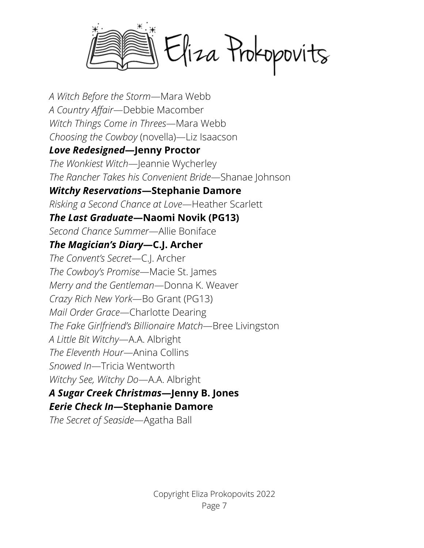Eliza Prokopovits

*A Witch Before the Storm*—Mara Webb *A Country Affair*—Debbie Macomber *Witch Things Come in Threes*—Mara Webb *Choosing the Cowboy* (novella)—Liz Isaacson *Love Redesigned***—Jenny Proctor** *The Wonkiest Witch*—Jeannie Wycherley *The Rancher Takes his Convenient Bride*—Shanae Johnson *Witchy Reservations***—Stephanie Damore** *Risking a Second Chance at Love*—Heather Scarlett *The Last Graduate***—Naomi Novik (PG13)** *Second Chance Summer*—Allie Boniface *The Magician's Diary***—C.J. Archer** *The Convent's Secret*—C.J. Archer *The Cowboy's Promise*—Macie St. James *Merry and the Gentleman*—Donna K. Weaver *Crazy Rich New York*—Bo Grant (PG13) *Mail Order Grace*—Charlotte Dearing *The Fake Girlfriend's Billionaire Match*—Bree Livingston *A Little Bit Witchy*—A.A. Albright *The Eleventh Hour*—Anina Collins *Snowed In*—Tricia Wentworth *Witchy See, Witchy Do*—A.A. Albright *A Sugar Creek Christmas***—Jenny B. Jones**

#### *Eerie Check In***—Stephanie Damore**

*The Secret of Seaside*—Agatha Ball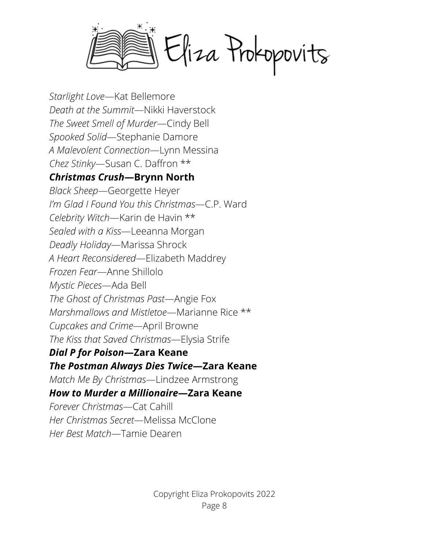Eliza Prokopovits

*Starlight Love*—Kat Bellemore *Death at the Summit*—Nikki Haverstock *The Sweet Smell of Murder*—Cindy Bell *Spooked Solid*—Stephanie Damore *A Malevolent Connection*—Lynn Messina *Chez Stinky*—Susan C. Daffron \*\* *Christmas Crush***—Brynn North** *Black Sheep*—Georgette Heyer *I'm Glad I Found You this Christmas*—C.P. Ward *Celebrity Witch*—Karin de Havin \*\* *Sealed with a Kiss*—Leeanna Morgan *Deadly Holiday*—Marissa Shrock *A Heart Reconsidered*—Elizabeth Maddrey *Frozen Fear*—Anne Shillolo *Mystic Pieces*—Ada Bell *The Ghost of Christmas Past*—Angie Fox *Marshmallows and Mistletoe*—Marianne Rice \*\* *Cupcakes and Crime*—April Browne *The Kiss that Saved Christmas*—Elysia Strife *Dial P for Poison***—Zara Keane** *The Postman Always Dies Twice***—Zara Keane** *Match Me By Christmas*—Lindzee Armstrong *How to Murder a Millionaire***—Zara Keane** *Forever Christmas*—Cat Cahill *Her Christmas Secret*—Melissa McClone *Her Best Match*—Tamie Dearen